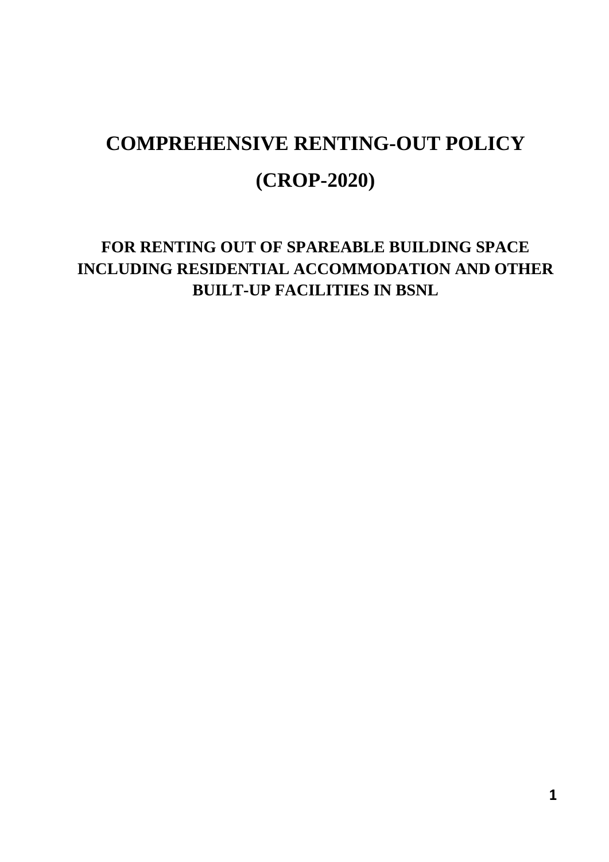# **COMPREHENSIVE RENTING-OUT POLICY (CROP-2020)**

# **FOR RENTING OUT OF SPAREABLE BUILDING SPACE INCLUDING RESIDENTIAL ACCOMMODATION AND OTHER BUILT-UP FACILITIES IN BSNL**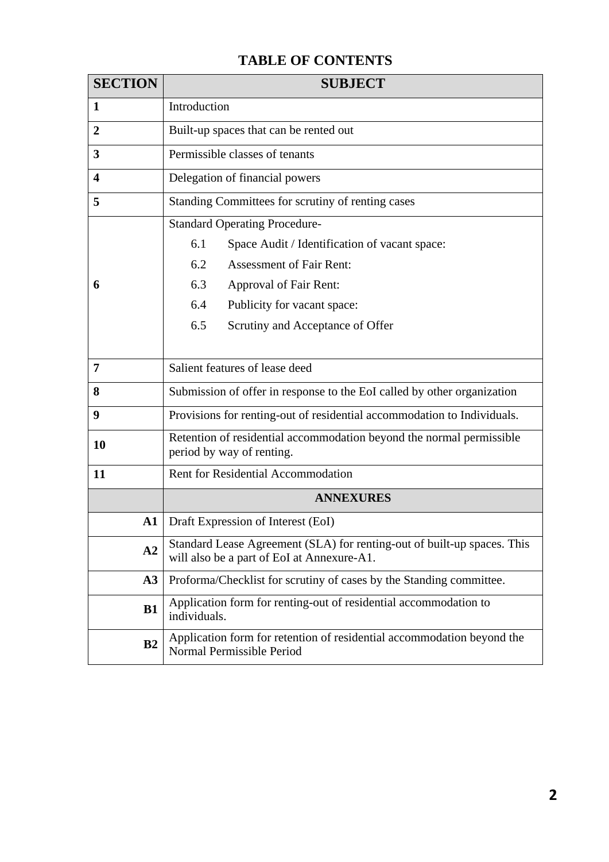# **TABLE OF CONTENTS**

| <b>SECTION</b>          | <b>SUBJECT</b>                                                                                                        |  |
|-------------------------|-----------------------------------------------------------------------------------------------------------------------|--|
| 1                       | Introduction                                                                                                          |  |
| $\overline{2}$          | Built-up spaces that can be rented out                                                                                |  |
| 3                       | Permissible classes of tenants                                                                                        |  |
| $\overline{\mathbf{4}}$ | Delegation of financial powers                                                                                        |  |
| 5                       | Standing Committees for scrutiny of renting cases                                                                     |  |
|                         | <b>Standard Operating Procedure-</b>                                                                                  |  |
|                         | 6.1<br>Space Audit / Identification of vacant space:                                                                  |  |
|                         | 6.2<br><b>Assessment of Fair Rent:</b>                                                                                |  |
| 6                       | 6.3<br>Approval of Fair Rent:                                                                                         |  |
|                         | 6.4<br>Publicity for vacant space:                                                                                    |  |
|                         | 6.5<br>Scrutiny and Acceptance of Offer                                                                               |  |
|                         |                                                                                                                       |  |
| 7                       | Salient features of lease deed                                                                                        |  |
| 8                       | Submission of offer in response to the EoI called by other organization                                               |  |
| 9                       | Provisions for renting-out of residential accommodation to Individuals.                                               |  |
| 10                      | Retention of residential accommodation beyond the normal permissible<br>period by way of renting.                     |  |
| 11                      | Rent for Residential Accommodation                                                                                    |  |
|                         | <b>ANNEXURES</b>                                                                                                      |  |
| $\mathbf{A1}$           | Draft Expression of Interest (EoI)                                                                                    |  |
| A2                      | Standard Lease Agreement (SLA) for renting-out of built-up spaces. This<br>will also be a part of EoI at Annexure-A1. |  |
| A3                      | Proforma/Checklist for scrutiny of cases by the Standing committee.                                                   |  |
| <b>B1</b>               | Application form for renting-out of residential accommodation to<br>individuals.                                      |  |
| B <sub>2</sub>          | Application form for retention of residential accommodation beyond the<br>Normal Permissible Period                   |  |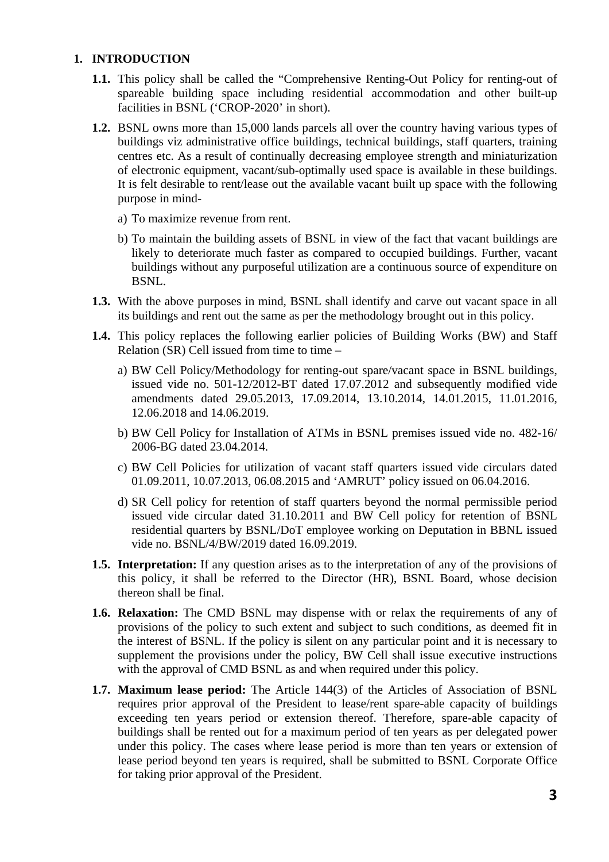# **1. INTRODUCTION**

- **1.1.** This policy shall be called the "Comprehensive Renting-Out Policy for renting-out of spareable building space including residential accommodation and other built-up facilities in BSNL ('CROP-2020' in short).
- **1.2.** BSNL owns more than 15,000 lands parcels all over the country having various types of buildings viz administrative office buildings, technical buildings, staff quarters, training centres etc. As a result of continually decreasing employee strength and miniaturization of electronic equipment, vacant/sub-optimally used space is available in these buildings. It is felt desirable to rent/lease out the available vacant built up space with the following purpose in mind
	- a) To maximize revenue from rent.
	- b) To maintain the building assets of BSNL in view of the fact that vacant buildings are likely to deteriorate much faster as compared to occupied buildings. Further, vacant buildings without any purposeful utilization are a continuous source of expenditure on BSNL.
- **1.3.** With the above purposes in mind, BSNL shall identify and carve out vacant space in all its buildings and rent out the same as per the methodology brought out in this policy.
- **1.4.** This policy replaces the following earlier policies of Building Works (BW) and Staff Relation  $(SR)$  Cell issued from time to time –
	- a) BW Cell Policy/Methodology for renting-out spare/vacant space in BSNL buildings, issued vide no. 501-12/2012-BT dated 17.07.2012 and subsequently modified vide amendments dated 29.05.2013, 17.09.2014, 13.10.2014, 14.01.2015, 11.01.2016, 12.06.2018 and 14.06.2019.
	- b) BW Cell Policy for Installation of ATMs in BSNL premises issued vide no. 482-16/ 2006-BG dated 23.04.2014.
	- c) BW Cell Policies for utilization of vacant staff quarters issued vide circulars dated 01.09.2011, 10.07.2013, 06.08.2015 and 'AMRUT' policy issued on 06.04.2016.
	- d) SR Cell policy for retention of staff quarters beyond the normal permissible period issued vide circular dated 31.10.2011 and BW Cell policy for retention of BSNL residential quarters by BSNL/DoT employee working on Deputation in BBNL issued vide no. BSNL/4/BW/2019 dated 16.09.2019.
- **1.5. Interpretation:** If any question arises as to the interpretation of any of the provisions of this policy, it shall be referred to the Director (HR), BSNL Board, whose decision thereon shall be final.
- **1.6. Relaxation:** The CMD BSNL may dispense with or relax the requirements of any of provisions of the policy to such extent and subject to such conditions, as deemed fit in the interest of BSNL. If the policy is silent on any particular point and it is necessary to supplement the provisions under the policy, BW Cell shall issue executive instructions with the approval of CMD BSNL as and when required under this policy.
- **1.7. Maximum lease period:** The Article 144(3) of the Articles of Association of BSNL requires prior approval of the President to lease/rent spare-able capacity of buildings exceeding ten years period or extension thereof. Therefore, spare-able capacity of buildings shall be rented out for a maximum period of ten years as per delegated power under this policy. The cases where lease period is more than ten years or extension of lease period beyond ten years is required, shall be submitted to BSNL Corporate Office for taking prior approval of the President.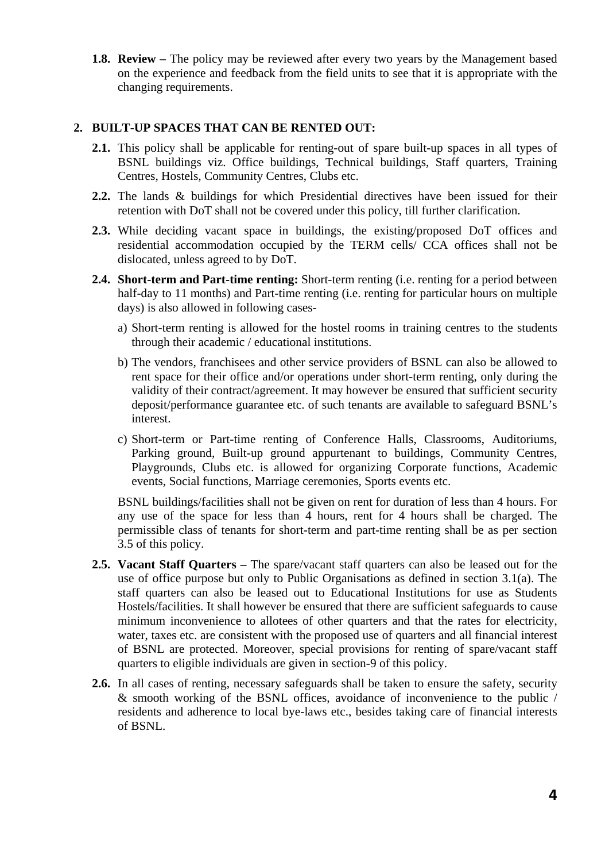**1.8. Review –** The policy may be reviewed after every two years by the Management based on the experience and feedback from the field units to see that it is appropriate with the changing requirements.

# **2. BUILT-UP SPACES THAT CAN BE RENTED OUT:**

- **2.1.** This policy shall be applicable for renting-out of spare built-up spaces in all types of BSNL buildings viz. Office buildings, Technical buildings, Staff quarters, Training Centres, Hostels, Community Centres, Clubs etc.
- **2.2.** The lands & buildings for which Presidential directives have been issued for their retention with DoT shall not be covered under this policy, till further clarification.
- **2.3.** While deciding vacant space in buildings, the existing/proposed DoT offices and residential accommodation occupied by the TERM cells/ CCA offices shall not be dislocated, unless agreed to by DoT.
- **2.4. Short-term and Part-time renting:** Short-term renting (i.e. renting for a period between half-day to 11 months) and Part-time renting (i.e. renting for particular hours on multiple days) is also allowed in following cases
	- a) Short-term renting is allowed for the hostel rooms in training centres to the students through their academic / educational institutions.
	- b) The vendors, franchisees and other service providers of BSNL can also be allowed to rent space for their office and/or operations under short-term renting, only during the validity of their contract/agreement. It may however be ensured that sufficient security deposit/performance guarantee etc. of such tenants are available to safeguard BSNL's interest.
	- c) Short-term or Part-time renting of Conference Halls, Classrooms, Auditoriums, Parking ground, Built-up ground appurtenant to buildings, Community Centres, Playgrounds, Clubs etc. is allowed for organizing Corporate functions, Academic events, Social functions, Marriage ceremonies, Sports events etc.

BSNL buildings/facilities shall not be given on rent for duration of less than 4 hours. For any use of the space for less than 4 hours, rent for 4 hours shall be charged. The permissible class of tenants for short-term and part-time renting shall be as per section 3.5 of this policy.

- **2.5. Vacant Staff Quarters –** The spare/vacant staff quarters can also be leased out for the use of office purpose but only to Public Organisations as defined in section 3.1(a). The staff quarters can also be leased out to Educational Institutions for use as Students Hostels/facilities. It shall however be ensured that there are sufficient safeguards to cause minimum inconvenience to allotees of other quarters and that the rates for electricity, water, taxes etc. are consistent with the proposed use of quarters and all financial interest of BSNL are protected. Moreover, special provisions for renting of spare/vacant staff quarters to eligible individuals are given in section-9 of this policy.
- **2.6.** In all cases of renting, necessary safeguards shall be taken to ensure the safety, security & smooth working of the BSNL offices, avoidance of inconvenience to the public / residents and adherence to local bye-laws etc., besides taking care of financial interests of BSNL.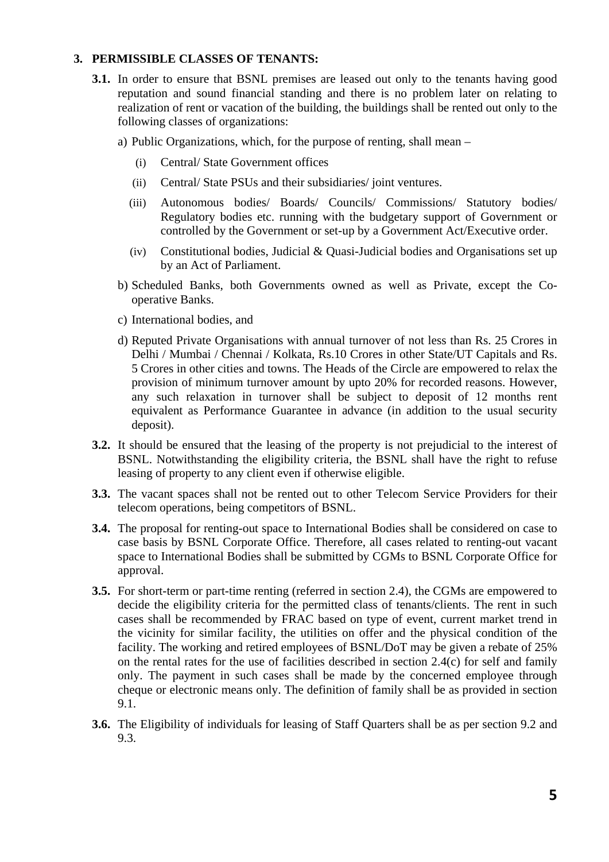# **3. PERMISSIBLE CLASSES OF TENANTS:**

- **3.1.** In order to ensure that BSNL premises are leased out only to the tenants having good reputation and sound financial standing and there is no problem later on relating to realization of rent or vacation of the building, the buildings shall be rented out only to the following classes of organizations:
	- a) Public Organizations, which, for the purpose of renting, shall mean
		- (i) Central/ State Government offices
		- (ii) Central/ State PSUs and their subsidiaries/ joint ventures.
		- (iii) Autonomous bodies/ Boards/ Councils/ Commissions/ Statutory bodies/ Regulatory bodies etc. running with the budgetary support of Government or controlled by the Government or set-up by a Government Act/Executive order.
		- (iv) Constitutional bodies, Judicial & Quasi-Judicial bodies and Organisations set up by an Act of Parliament.
	- b) Scheduled Banks, both Governments owned as well as Private, except the Cooperative Banks.
	- c) International bodies, and
	- d) Reputed Private Organisations with annual turnover of not less than Rs. 25 Crores in Delhi / Mumbai / Chennai / Kolkata, Rs.10 Crores in other State/UT Capitals and Rs. 5 Crores in other cities and towns. The Heads of the Circle are empowered to relax the provision of minimum turnover amount by upto 20% for recorded reasons. However, any such relaxation in turnover shall be subject to deposit of 12 months rent equivalent as Performance Guarantee in advance (in addition to the usual security deposit).
- **3.2.** It should be ensured that the leasing of the property is not prejudicial to the interest of BSNL. Notwithstanding the eligibility criteria, the BSNL shall have the right to refuse leasing of property to any client even if otherwise eligible.
- **3.3.** The vacant spaces shall not be rented out to other Telecom Service Providers for their telecom operations, being competitors of BSNL.
- **3.4.** The proposal for renting-out space to International Bodies shall be considered on case to case basis by BSNL Corporate Office. Therefore, all cases related to renting-out vacant space to International Bodies shall be submitted by CGMs to BSNL Corporate Office for approval.
- **3.5.** For short-term or part-time renting (referred in section 2.4), the CGMs are empowered to decide the eligibility criteria for the permitted class of tenants/clients. The rent in such cases shall be recommended by FRAC based on type of event, current market trend in the vicinity for similar facility, the utilities on offer and the physical condition of the facility. The working and retired employees of BSNL/DoT may be given a rebate of 25% on the rental rates for the use of facilities described in section 2.4(c) for self and family only. The payment in such cases shall be made by the concerned employee through cheque or electronic means only. The definition of family shall be as provided in section 9.1.
- **3.6.** The Eligibility of individuals for leasing of Staff Quarters shall be as per section 9.2 and 9.3.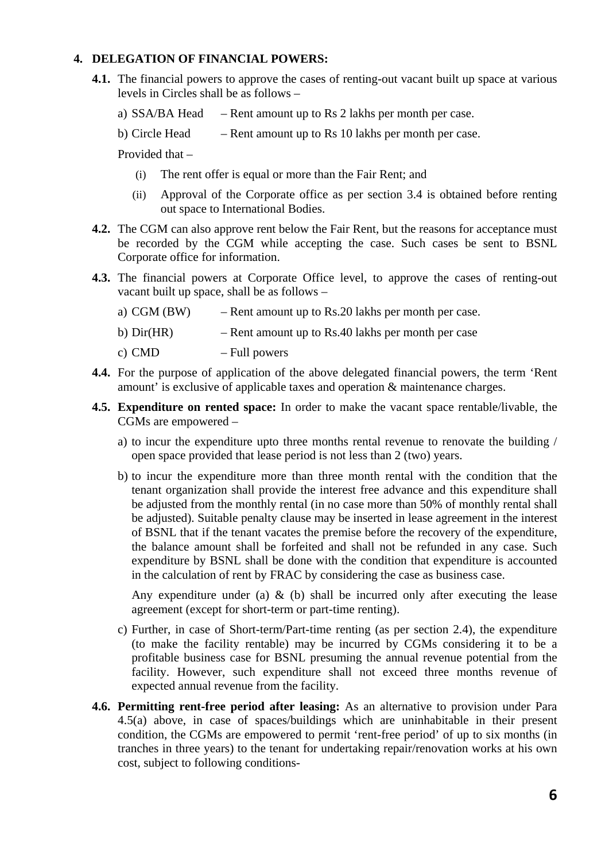# **4. DELEGATION OF FINANCIAL POWERS:**

- **4.1.** The financial powers to approve the cases of renting-out vacant built up space at various levels in Circles shall be as follows –
	- a) SSA/BA Head  $-$  Rent amount up to Rs 2 lakhs per month per case.
	- b) Circle Head Rent amount up to Rs 10 lakhs per month per case.

Provided that –

- (i) The rent offer is equal or more than the Fair Rent; and
- (ii) Approval of the Corporate office as per section 3.4 is obtained before renting out space to International Bodies.
- **4.2.** The CGM can also approve rent below the Fair Rent, but the reasons for acceptance must be recorded by the CGM while accepting the case. Such cases be sent to BSNL Corporate office for information.
- **4.3.** The financial powers at Corporate Office level, to approve the cases of renting-out vacant built up space, shall be as follows –
	- a) CGM (BW) Rent amount up to Rs.20 lakhs per month per case.
	- b) Dir(HR) Rent amount up to Rs.40 lakhs per month per case
	- c) CMD Full powers
- **4.4.** For the purpose of application of the above delegated financial powers, the term 'Rent amount' is exclusive of applicable taxes and operation & maintenance charges.
- **4.5. Expenditure on rented space:** In order to make the vacant space rentable/livable, the CGMs are empowered –
	- a) to incur the expenditure upto three months rental revenue to renovate the building / open space provided that lease period is not less than 2 (two) years.
	- b) to incur the expenditure more than three month rental with the condition that the tenant organization shall provide the interest free advance and this expenditure shall be adjusted from the monthly rental (in no case more than 50% of monthly rental shall be adjusted). Suitable penalty clause may be inserted in lease agreement in the interest of BSNL that if the tenant vacates the premise before the recovery of the expenditure, the balance amount shall be forfeited and shall not be refunded in any case. Such expenditure by BSNL shall be done with the condition that expenditure is accounted in the calculation of rent by FRAC by considering the case as business case.

Any expenditure under (a)  $\&$  (b) shall be incurred only after executing the lease agreement (except for short-term or part-time renting).

- c) Further, in case of Short-term/Part-time renting (as per section 2.4), the expenditure (to make the facility rentable) may be incurred by CGMs considering it to be a profitable business case for BSNL presuming the annual revenue potential from the facility. However, such expenditure shall not exceed three months revenue of expected annual revenue from the facility.
- **4.6. Permitting rent-free period after leasing:** As an alternative to provision under Para 4.5(a) above, in case of spaces/buildings which are uninhabitable in their present condition, the CGMs are empowered to permit 'rent-free period' of up to six months (in tranches in three years) to the tenant for undertaking repair/renovation works at his own cost, subject to following conditions-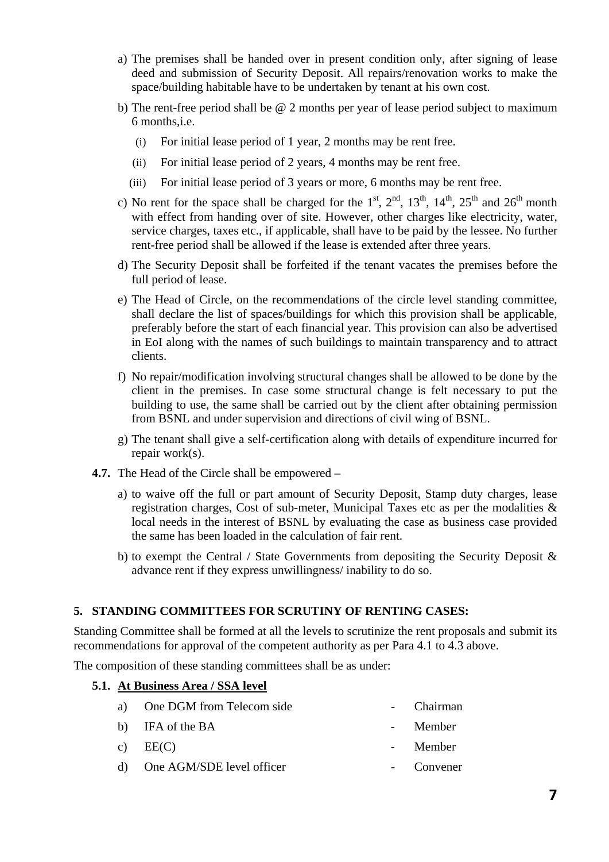- a) The premises shall be handed over in present condition only, after signing of lease deed and submission of Security Deposit. All repairs/renovation works to make the space/building habitable have to be undertaken by tenant at his own cost.
- b) The rent-free period shall be @ 2 months per year of lease period subject to maximum 6 months,i.e.
	- (i) For initial lease period of 1 year, 2 months may be rent free.
	- (ii) For initial lease period of 2 years, 4 months may be rent free.
	- (iii) For initial lease period of 3 years or more, 6 months may be rent free.
- c) No rent for the space shall be charged for the  $1^{st}$ ,  $2^{nd}$ ,  $13^{th}$ ,  $14^{th}$ ,  $25^{th}$  and  $26^{th}$  month with effect from handing over of site. However, other charges like electricity, water, service charges, taxes etc., if applicable, shall have to be paid by the lessee. No further rent-free period shall be allowed if the lease is extended after three years.
- d) The Security Deposit shall be forfeited if the tenant vacates the premises before the full period of lease.
- e) The Head of Circle, on the recommendations of the circle level standing committee, shall declare the list of spaces/buildings for which this provision shall be applicable, preferably before the start of each financial year. This provision can also be advertised in EoI along with the names of such buildings to maintain transparency and to attract clients.
- f) No repair/modification involving structural changes shall be allowed to be done by the client in the premises. In case some structural change is felt necessary to put the building to use, the same shall be carried out by the client after obtaining permission from BSNL and under supervision and directions of civil wing of BSNL.
- g) The tenant shall give a self-certification along with details of expenditure incurred for repair work(s).
- **4.7.** The Head of the Circle shall be empowered
	- a) to waive off the full or part amount of Security Deposit, Stamp duty charges, lease registration charges, Cost of sub-meter, Municipal Taxes etc as per the modalities & local needs in the interest of BSNL by evaluating the case as business case provided the same has been loaded in the calculation of fair rent.
	- b) to exempt the Central / State Governments from depositing the Security Deposit  $\&$ advance rent if they express unwillingness/ inability to do so.

# **5. STANDING COMMITTEES FOR SCRUTINY OF RENTING CASES:**

Standing Committee shall be formed at all the levels to scrutinize the rent proposals and submit its recommendations for approval of the competent authority as per Para 4.1 to 4.3 above.

The composition of these standing committees shall be as under:

# **5.1. At Business Area / SSA level**

| a) One DGM from Telecom side | - Chairman |
|------------------------------|------------|
| b) IFA of the BA             | - Member   |
| c) $EE(C)$                   | - Member   |
| d) One AGM/SDE level officer | - Convener |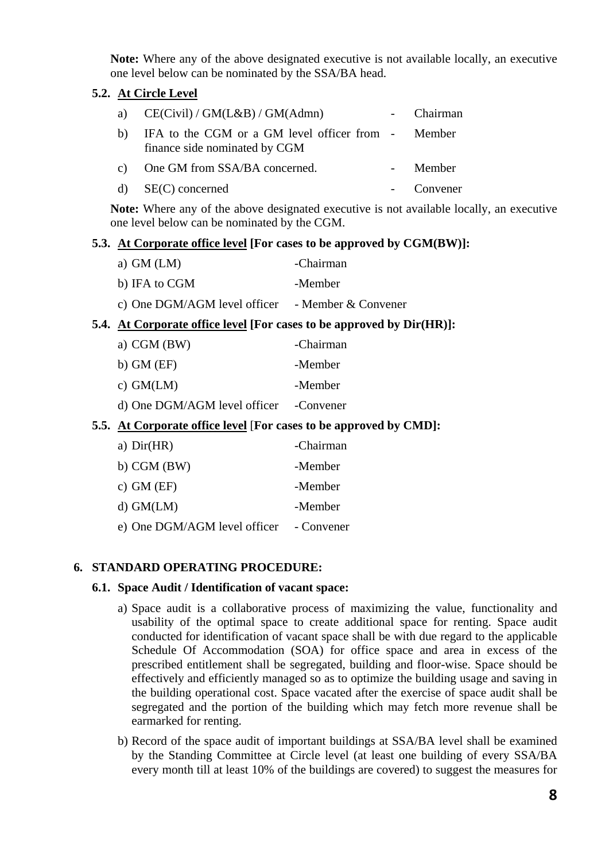**Note:** Where any of the above designated executive is not available locally, an executive one level below can be nominated by the SSA/BA head.

# **5.2. At Circle Level**

|    | a) $CE(Civil) / GM(L&B) / GM(Admn)$                                                 | - Chairman |
|----|-------------------------------------------------------------------------------------|------------|
| b) | IFA to the CGM or a GM level officer from - Member<br>finance side nominated by CGM |            |
|    | c) One GM from SSA/BA concerned.                                                    | - Member   |
|    | $d)$ SE(C) concerned                                                                | - Convener |

**Note:** Where any of the above designated executive is not available locally, an executive one level below can be nominated by the CGM.

# **5.3. At Corporate office level [For cases to be approved by CGM(BW)]:**

| a) $GM(LM)$                                      | -Chairman |
|--------------------------------------------------|-----------|
| b) IFA to CGM                                    | -Member   |
| c) One DGM/AGM level officer - Member & Convener |           |

# **5.4. At Corporate office level [For cases to be approved by Dir(HR)]:**

| a) CGM $(BW)$                          | -Chairman |
|----------------------------------------|-----------|
| b) $GM(EF)$                            | -Member   |
| c) $GM(LM)$                            | -Member   |
| d) One DGM/AGM level officer -Convener |           |

# **5.5. At Corporate office level** [**For cases to be approved by CMD]:**

| a) $Dir(HR)$                 | -Chairman  |
|------------------------------|------------|
| $b)$ CGM (BW)                | -Member    |
| c) $GM(EF)$                  | -Member    |
| $d)$ GM(LM)                  | -Member    |
| e) One DGM/AGM level officer | - Convener |

# **6. STANDARD OPERATING PROCEDURE:**

#### **6.1. Space Audit / Identification of vacant space:**

- a) Space audit is a collaborative process of maximizing the value, functionality and usability of the optimal space to create additional space for renting. Space audit conducted for identification of vacant space shall be with due regard to the applicable Schedule Of Accommodation (SOA) for office space and area in excess of the prescribed entitlement shall be segregated, building and floor-wise. Space should be effectively and efficiently managed so as to optimize the building usage and saving in the building operational cost. Space vacated after the exercise of space audit shall be segregated and the portion of the building which may fetch more revenue shall be earmarked for renting.
- b) Record of the space audit of important buildings at SSA/BA level shall be examined by the Standing Committee at Circle level (at least one building of every SSA/BA every month till at least 10% of the buildings are covered) to suggest the measures for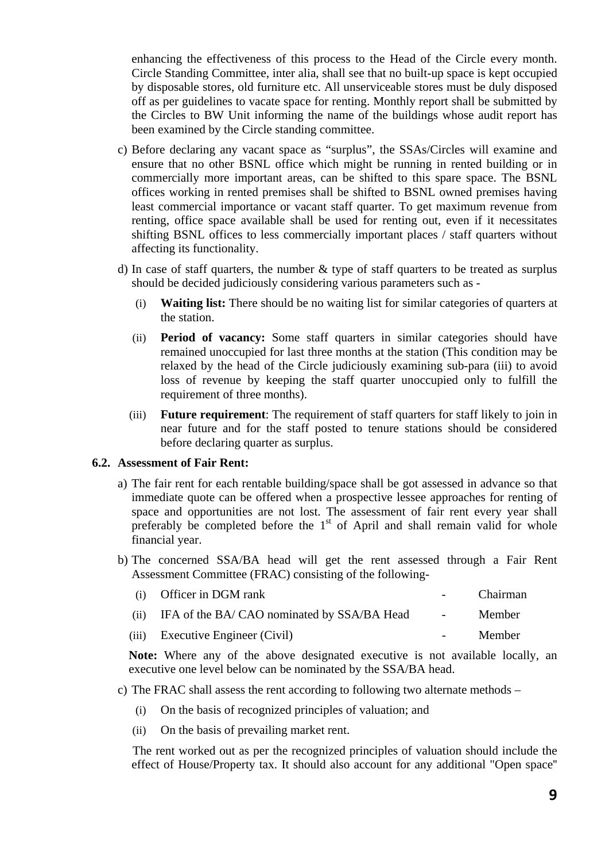enhancing the effectiveness of this process to the Head of the Circle every month. Circle Standing Committee, inter alia, shall see that no built-up space is kept occupied by disposable stores, old furniture etc. All unserviceable stores must be duly disposed off as per guidelines to vacate space for renting. Monthly report shall be submitted by the Circles to BW Unit informing the name of the buildings whose audit report has been examined by the Circle standing committee.

- c) Before declaring any vacant space as "surplus", the SSAs/Circles will examine and ensure that no other BSNL office which might be running in rented building or in commercially more important areas, can be shifted to this spare space. The BSNL offices working in rented premises shall be shifted to BSNL owned premises having least commercial importance or vacant staff quarter. To get maximum revenue from renting, office space available shall be used for renting out, even if it necessitates shifting BSNL offices to less commercially important places / staff quarters without affecting its functionality.
- d) In case of staff quarters, the number  $\&$  type of staff quarters to be treated as surplus should be decided judiciously considering various parameters such as -
	- (i) **Waiting list:** There should be no waiting list for similar categories of quarters at the station.
	- (ii) **Period of vacancy:** Some staff quarters in similar categories should have remained unoccupied for last three months at the station (This condition may be relaxed by the head of the Circle judiciously examining sub-para (iii) to avoid loss of revenue by keeping the staff quarter unoccupied only to fulfill the requirement of three months).
	- (iii) **Future requirement**: The requirement of staff quarters for staff likely to join in near future and for the staff posted to tenure stations should be considered before declaring quarter as surplus.

# **6.2. Assessment of Fair Rent:**

- a) The fair rent for each rentable building/space shall be got assessed in advance so that immediate quote can be offered when a prospective lessee approaches for renting of space and opportunities are not lost. The assessment of fair rent every year shall preferably be completed before the  $1<sup>st</sup>$  of April and shall remain valid for whole financial year.
- b) The concerned SSA/BA head will get the rent assessed through a Fair Rent Assessment Committee (FRAC) consisting of the following-

| (i) Officer in DGM rank                         |            | Chairman |
|-------------------------------------------------|------------|----------|
| (ii) IFA of the BA/CAO nominated by SSA/BA Head | $\sim 100$ | Member   |
| (iii) Executive Engineer (Civil)                |            | Member   |

**Note:** Where any of the above designated executive is not available locally, an executive one level below can be nominated by the SSA/BA head.

- c) The FRAC shall assess the rent according to following two alternate methods
	- (i) On the basis of recognized principles of valuation; and
	- (ii) On the basis of prevailing market rent.

The rent worked out as per the recognized principles of valuation should include the effect of House/Property tax. It should also account for any additional "Open space''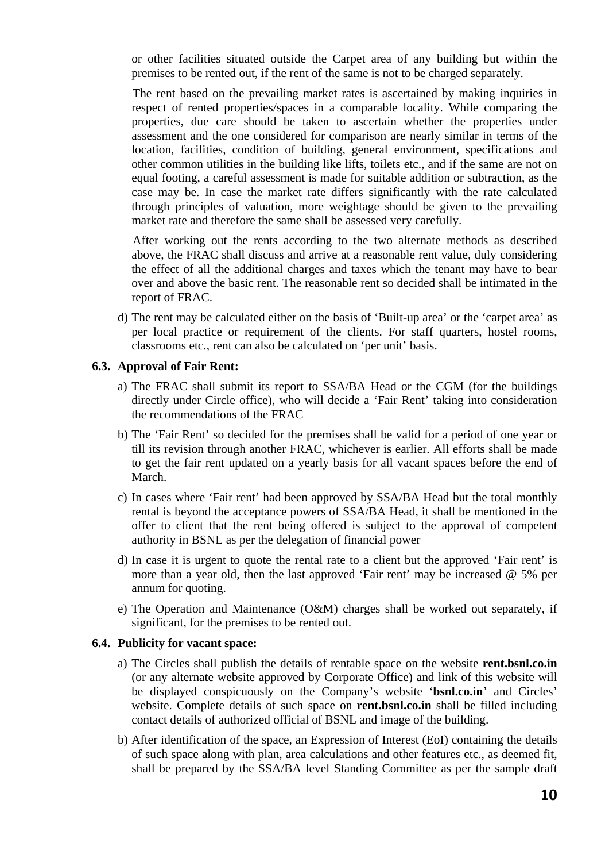or other facilities situated outside the Carpet area of any building but within the premises to be rented out, if the rent of the same is not to be charged separately.

The rent based on the prevailing market rates is ascertained by making inquiries in respect of rented properties/spaces in a comparable locality. While comparing the properties, due care should be taken to ascertain whether the properties under assessment and the one considered for comparison are nearly similar in terms of the location, facilities, condition of building, general environment, specifications and other common utilities in the building like lifts, toilets etc., and if the same are not on equal footing, a careful assessment is made for suitable addition or subtraction, as the case may be. In case the market rate differs significantly with the rate calculated through principles of valuation, more weightage should be given to the prevailing market rate and therefore the same shall be assessed very carefully.

After working out the rents according to the two alternate methods as described above, the FRAC shall discuss and arrive at a reasonable rent value, duly considering the effect of all the additional charges and taxes which the tenant may have to bear over and above the basic rent. The reasonable rent so decided shall be intimated in the report of FRAC.

d) The rent may be calculated either on the basis of 'Built-up area' or the 'carpet area' as per local practice or requirement of the clients. For staff quarters, hostel rooms, classrooms etc., rent can also be calculated on 'per unit' basis.

#### **6.3. Approval of Fair Rent:**

- a) The FRAC shall submit its report to SSA/BA Head or the CGM (for the buildings directly under Circle office), who will decide a 'Fair Rent' taking into consideration the recommendations of the FRAC
- b) The 'Fair Rent' so decided for the premises shall be valid for a period of one year or till its revision through another FRAC, whichever is earlier. All efforts shall be made to get the fair rent updated on a yearly basis for all vacant spaces before the end of March.
- c) In cases where 'Fair rent' had been approved by SSA/BA Head but the total monthly rental is beyond the acceptance powers of SSA/BA Head, it shall be mentioned in the offer to client that the rent being offered is subject to the approval of competent authority in BSNL as per the delegation of financial power
- d) In case it is urgent to quote the rental rate to a client but the approved 'Fair rent' is more than a year old, then the last approved 'Fair rent' may be increased @ 5% per annum for quoting.
- e) The Operation and Maintenance (O&M) charges shall be worked out separately, if significant, for the premises to be rented out.

#### **6.4. Publicity for vacant space:**

- a) The Circles shall publish the details of rentable space on the website **rent.bsnl.co.in** (or any alternate website approved by Corporate Office) and link of this website will be displayed conspicuously on the Company's website '**bsnl.co.in**' and Circles' website. Complete details of such space on **rent.bsnl.co.in** shall be filled including contact details of authorized official of BSNL and image of the building.
- b) After identification of the space, an Expression of Interest (EoI) containing the details of such space along with plan, area calculations and other features etc., as deemed fit, shall be prepared by the SSA/BA level Standing Committee as per the sample draft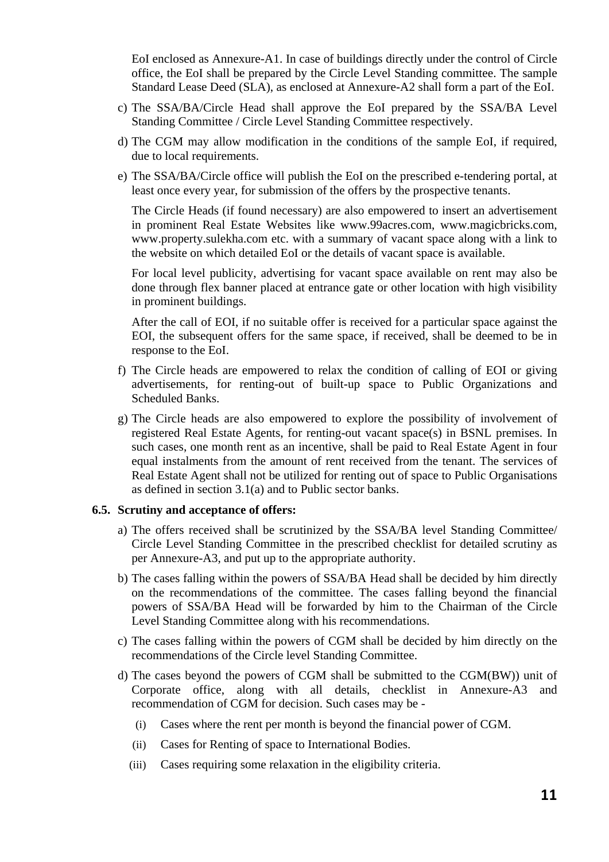EoI enclosed as Annexure-A1. In case of buildings directly under the control of Circle office, the EoI shall be prepared by the Circle Level Standing committee. The sample Standard Lease Deed (SLA), as enclosed at Annexure-A2 shall form a part of the EoI.

- c) The SSA/BA/Circle Head shall approve the EoI prepared by the SSA/BA Level Standing Committee / Circle Level Standing Committee respectively.
- d) The CGM may allow modification in the conditions of the sample EoI, if required, due to local requirements.
- e) The SSA/BA/Circle office will publish the EoI on the prescribed e-tendering portal, at least once every year, for submission of the offers by the prospective tenants.

The Circle Heads (if found necessary) are also empowered to insert an advertisement in prominent Real Estate Websites like www.99acres.com, www.magicbricks.com, www.property.sulekha.com etc. with a summary of vacant space along with a link to the website on which detailed EoI or the details of vacant space is available.

For local level publicity, advertising for vacant space available on rent may also be done through flex banner placed at entrance gate or other location with high visibility in prominent buildings.

After the call of EOI, if no suitable offer is received for a particular space against the EOI, the subsequent offers for the same space, if received, shall be deemed to be in response to the EoI.

- f) The Circle heads are empowered to relax the condition of calling of EOI or giving advertisements, for renting-out of built-up space to Public Organizations and Scheduled Banks.
- g) The Circle heads are also empowered to explore the possibility of involvement of registered Real Estate Agents, for renting-out vacant space(s) in BSNL premises. In such cases, one month rent as an incentive, shall be paid to Real Estate Agent in four equal instalments from the amount of rent received from the tenant. The services of Real Estate Agent shall not be utilized for renting out of space to Public Organisations as defined in section 3.1(a) and to Public sector banks.

# **6.5. Scrutiny and acceptance of offers:**

- a) The offers received shall be scrutinized by the SSA/BA level Standing Committee/ Circle Level Standing Committee in the prescribed checklist for detailed scrutiny as per Annexure-A3, and put up to the appropriate authority.
- b) The cases falling within the powers of SSA/BA Head shall be decided by him directly on the recommendations of the committee. The cases falling beyond the financial powers of SSA/BA Head will be forwarded by him to the Chairman of the Circle Level Standing Committee along with his recommendations.
- c) The cases falling within the powers of CGM shall be decided by him directly on the recommendations of the Circle level Standing Committee.
- d) The cases beyond the powers of CGM shall be submitted to the CGM(BW)) unit of Corporate office, along with all details, checklist in Annexure-A3 and recommendation of CGM for decision. Such cases may be -
	- (i) Cases where the rent per month is beyond the financial power of CGM.
	- (ii) Cases for Renting of space to International Bodies.
	- (iii) Cases requiring some relaxation in the eligibility criteria.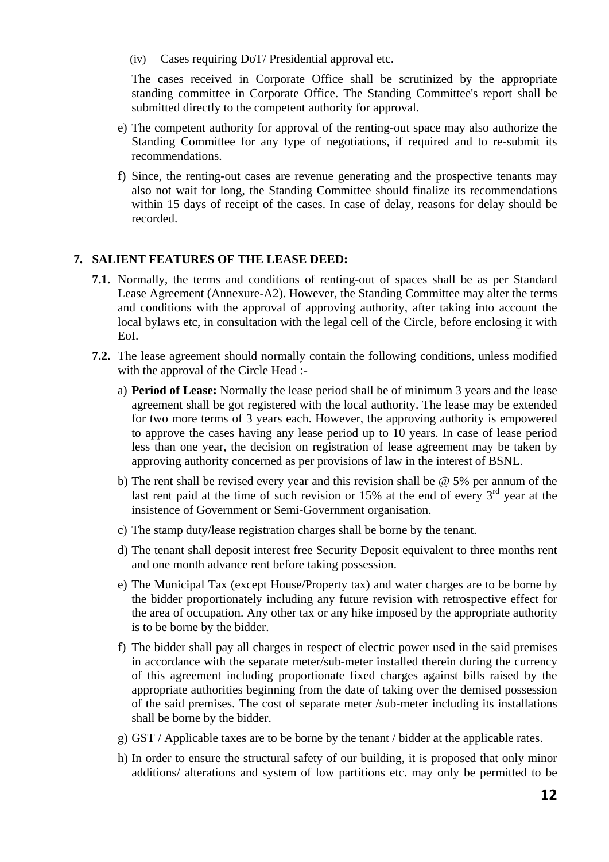(iv) Cases requiring DoT/ Presidential approval etc.

The cases received in Corporate Office shall be scrutinized by the appropriate standing committee in Corporate Office. The Standing Committee's report shall be submitted directly to the competent authority for approval.

- e) The competent authority for approval of the renting-out space may also authorize the Standing Committee for any type of negotiations, if required and to re-submit its recommendations.
- f) Since, the renting-out cases are revenue generating and the prospective tenants may also not wait for long, the Standing Committee should finalize its recommendations within 15 days of receipt of the cases. In case of delay, reasons for delay should be recorded.

# **7. SALIENT FEATURES OF THE LEASE DEED:**

- **7.1.** Normally, the terms and conditions of renting-out of spaces shall be as per Standard Lease Agreement (Annexure-A2). However, the Standing Committee may alter the terms and conditions with the approval of approving authority, after taking into account the local bylaws etc, in consultation with the legal cell of the Circle, before enclosing it with EoI.
- **7.2.** The lease agreement should normally contain the following conditions, unless modified with the approval of the Circle Head :
	- a) **Period of Lease:** Normally the lease period shall be of minimum 3 years and the lease agreement shall be got registered with the local authority. The lease may be extended for two more terms of 3 years each. However, the approving authority is empowered to approve the cases having any lease period up to 10 years. In case of lease period less than one year, the decision on registration of lease agreement may be taken by approving authority concerned as per provisions of law in the interest of BSNL.
	- b) The rent shall be revised every year and this revision shall be @ 5% per annum of the last rent paid at the time of such revision or 15% at the end of every  $3<sup>rd</sup>$  year at the insistence of Government or Semi-Government organisation.
	- c) The stamp duty/lease registration charges shall be borne by the tenant.
	- d) The tenant shall deposit interest free Security Deposit equivalent to three months rent and one month advance rent before taking possession.
	- e) The Municipal Tax (except House/Property tax) and water charges are to be borne by the bidder proportionately including any future revision with retrospective effect for the area of occupation. Any other tax or any hike imposed by the appropriate authority is to be borne by the bidder.
	- f) The bidder shall pay all charges in respect of electric power used in the said premises in accordance with the separate meter/sub-meter installed therein during the currency of this agreement including proportionate fixed charges against bills raised by the appropriate authorities beginning from the date of taking over the demised possession of the said premises. The cost of separate meter /sub-meter including its installations shall be borne by the bidder.
	- g) GST / Applicable taxes are to be borne by the tenant / bidder at the applicable rates.
	- h) In order to ensure the structural safety of our building, it is proposed that only minor additions/ alterations and system of low partitions etc. may only be permitted to be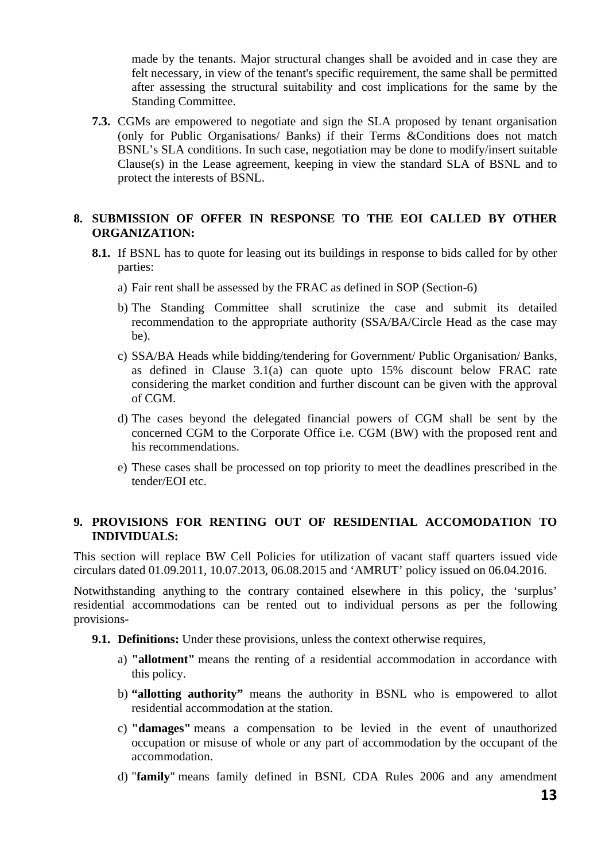made by the tenants. Major structural changes shall be avoided and in case they are felt necessary, in view of the tenant's specific requirement, the same shall be permitted after assessing the structural suitability and cost implications for the same by the Standing Committee.

**7.3.** CGMs are empowered to negotiate and sign the SLA proposed by tenant organisation (only for Public Organisations/ Banks) if their Terms &Conditions does not match BSNL's SLA conditions. In such case, negotiation may be done to modify/insert suitable Clause(s) in the Lease agreement, keeping in view the standard SLA of BSNL and to protect the interests of BSNL.

# **8. SUBMISSION OF OFFER IN RESPONSE TO THE EOI CALLED BY OTHER ORGANIZATION:**

- **8.1.** If BSNL has to quote for leasing out its buildings in response to bids called for by other parties:
	- a) Fair rent shall be assessed by the FRAC as defined in SOP (Section-6)
	- b) The Standing Committee shall scrutinize the case and submit its detailed recommendation to the appropriate authority (SSA/BA/Circle Head as the case may be).
	- c) SSA/BA Heads while bidding/tendering for Government/ Public Organisation/ Banks, as defined in Clause 3.1(a) can quote upto 15% discount below FRAC rate considering the market condition and further discount can be given with the approval of CGM.
	- d) The cases beyond the delegated financial powers of CGM shall be sent by the concerned CGM to the Corporate Office i.e. CGM (BW) with the proposed rent and his recommendations.
	- e) These cases shall be processed on top priority to meet the deadlines prescribed in the tender/EOI etc.

# **9. PROVISIONS FOR RENTING OUT OF RESIDENTIAL ACCOMODATION TO INDIVIDUALS:**

This section will replace BW Cell Policies for utilization of vacant staff quarters issued vide circulars dated 01.09.2011, 10.07.2013, 06.08.2015 and 'AMRUT' policy issued on 06.04.2016.

Notwithstanding anything to the contrary contained elsewhere in this policy, the 'surplus' residential accommodations can be rented out to individual persons as per the following provisions-

**9.1. Definitions:** Under these provisions, unless the context otherwise requires,

- a) **"allotment"** means the renting of a residential accommodation in accordance with this policy.
- b) **"allotting authority"** means the authority in BSNL who is empowered to allot residential accommodation at the station.
- c) **"damages"** means a compensation to be levied in the event of unauthorized occupation or misuse of whole or any part of accommodation by the occupant of the accommodation.
- d) "**family**" means family defined in BSNL CDA Rules 2006 and any amendment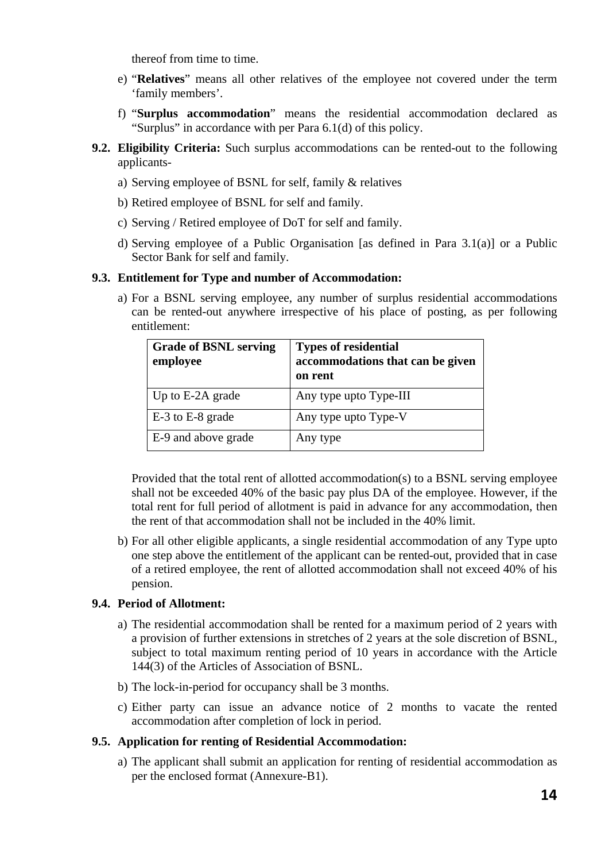thereof from time to time.

- e) "**Relatives**" means all other relatives of the employee not covered under the term 'family members'.
- f) "**Surplus accommodation**" means the residential accommodation declared as "Surplus" in accordance with per Para 6.1(d) of this policy.
- **9.2. Eligibility Criteria:** Such surplus accommodations can be rented-out to the following applicants
	- a) Serving employee of BSNL for self, family & relatives
	- b) Retired employee of BSNL for self and family.
	- c) Serving / Retired employee of DoT for self and family.
	- d) Serving employee of a Public Organisation [as defined in Para 3.1(a)] or a Public Sector Bank for self and family.

# **9.3. Entitlement for Type and number of Accommodation:**

a) For a BSNL serving employee, any number of surplus residential accommodations can be rented-out anywhere irrespective of his place of posting, as per following entitlement:

| <b>Grade of BSNL serving</b><br>employee | <b>Types of residential</b><br>accommodations that can be given<br>on rent |
|------------------------------------------|----------------------------------------------------------------------------|
| Up to E-2A grade                         | Any type upto Type-III                                                     |
| E-3 to E-8 grade                         | Any type upto Type-V                                                       |
| E-9 and above grade                      | Any type                                                                   |

Provided that the total rent of allotted accommodation(s) to a BSNL serving employee shall not be exceeded 40% of the basic pay plus DA of the employee. However, if the total rent for full period of allotment is paid in advance for any accommodation, then the rent of that accommodation shall not be included in the 40% limit.

b) For all other eligible applicants, a single residential accommodation of any Type upto one step above the entitlement of the applicant can be rented-out, provided that in case of a retired employee, the rent of allotted accommodation shall not exceed 40% of his pension.

# **9.4. Period of Allotment:**

- a) The residential accommodation shall be rented for a maximum period of 2 years with a provision of further extensions in stretches of 2 years at the sole discretion of BSNL, subject to total maximum renting period of 10 years in accordance with the Article 144(3) of the Articles of Association of BSNL.
- b) The lock-in-period for occupancy shall be 3 months.
- c) Either party can issue an advance notice of 2 months to vacate the rented accommodation after completion of lock in period.

# **9.5. Application for renting of Residential Accommodation:**

a) The applicant shall submit an application for renting of residential accommodation as per the enclosed format (Annexure-B1).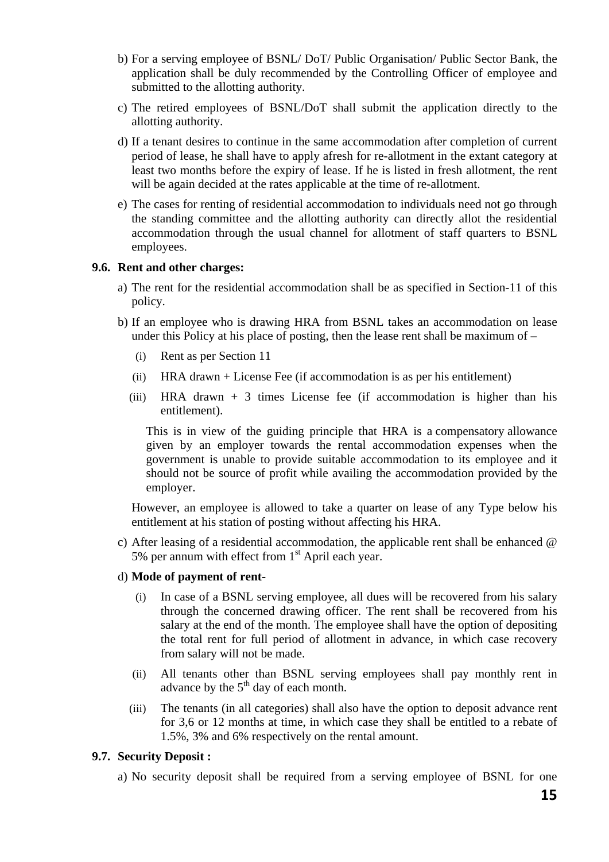- b) For a serving employee of BSNL/ DoT/ Public Organisation/ Public Sector Bank, the application shall be duly recommended by the Controlling Officer of employee and submitted to the allotting authority.
- c) The retired employees of BSNL/DoT shall submit the application directly to the allotting authority.
- d) If a tenant desires to continue in the same accommodation after completion of current period of lease, he shall have to apply afresh for re-allotment in the extant category at least two months before the expiry of lease. If he is listed in fresh allotment, the rent will be again decided at the rates applicable at the time of re-allotment.
- e) The cases for renting of residential accommodation to individuals need not go through the standing committee and the allotting authority can directly allot the residential accommodation through the usual channel for allotment of staff quarters to BSNL employees.

# **9.6. Rent and other charges:**

- a) The rent for the residential accommodation shall be as specified in Section-11 of this policy.
- b) If an employee who is drawing HRA from BSNL takes an accommodation on lease under this Policy at his place of posting, then the lease rent shall be maximum of –
	- (i) Rent as per Section 11
	- (ii) HRA drawn + License Fee (if accommodation is as per his entitlement)
	- (iii) HRA drawn  $+3$  times License fee (if accommodation is higher than his entitlement).

This is in view of the guiding principle that HRA is a compensatory allowance given by an employer towards the rental accommodation expenses when the government is unable to provide suitable accommodation to its employee and it should not be source of profit while availing the accommodation provided by the employer.

However, an employee is allowed to take a quarter on lease of any Type below his entitlement at his station of posting without affecting his HRA.

c) After leasing of a residential accommodation, the applicable rent shall be enhanced @ 5% per annum with effect from  $1<sup>st</sup>$  April each year.

#### d) **Mode of payment of rent-**

- (i) In case of a BSNL serving employee, all dues will be recovered from his salary through the concerned drawing officer. The rent shall be recovered from his salary at the end of the month. The employee shall have the option of depositing the total rent for full period of allotment in advance, in which case recovery from salary will not be made.
- (ii) All tenants other than BSNL serving employees shall pay monthly rent in advance by the  $5<sup>th</sup>$  day of each month.
- (iii) The tenants (in all categories) shall also have the option to deposit advance rent for 3,6 or 12 months at time, in which case they shall be entitled to a rebate of 1.5%, 3% and 6% respectively on the rental amount.

#### **9.7. Security Deposit :**

a) No security deposit shall be required from a serving employee of BSNL for one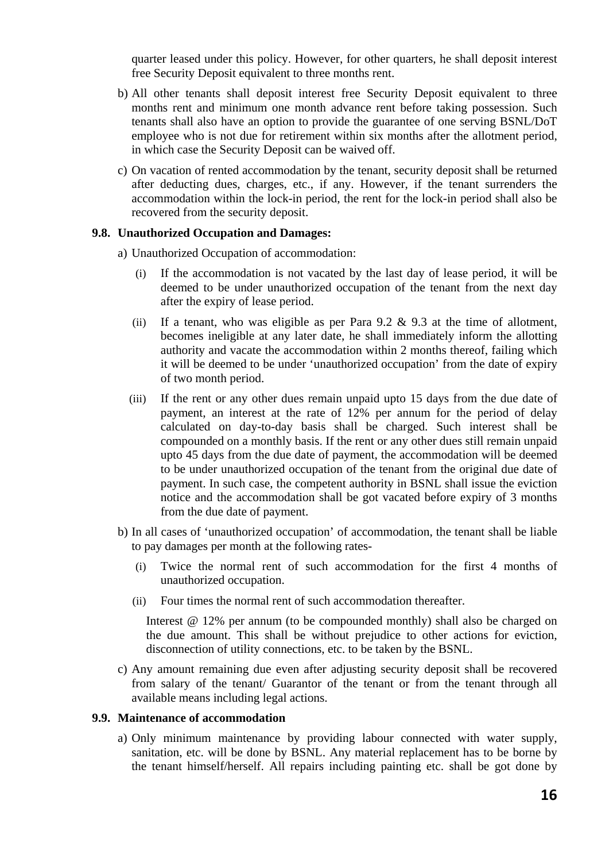quarter leased under this policy. However, for other quarters, he shall deposit interest free Security Deposit equivalent to three months rent.

- b) All other tenants shall deposit interest free Security Deposit equivalent to three months rent and minimum one month advance rent before taking possession. Such tenants shall also have an option to provide the guarantee of one serving BSNL/DoT employee who is not due for retirement within six months after the allotment period, in which case the Security Deposit can be waived off.
- c) On vacation of rented accommodation by the tenant, security deposit shall be returned after deducting dues, charges, etc., if any. However, if the tenant surrenders the accommodation within the lock-in period, the rent for the lock-in period shall also be recovered from the security deposit.

#### **9.8. Unauthorized Occupation and Damages:**

- a) Unauthorized Occupation of accommodation:
	- (i) If the accommodation is not vacated by the last day of lease period, it will be deemed to be under unauthorized occupation of the tenant from the next day after the expiry of lease period.
	- (ii) If a tenant, who was eligible as per Para  $9.2 \& 9.3$  at the time of allotment, becomes ineligible at any later date, he shall immediately inform the allotting authority and vacate the accommodation within 2 months thereof, failing which it will be deemed to be under 'unauthorized occupation' from the date of expiry of two month period.
	- (iii) If the rent or any other dues remain unpaid upto 15 days from the due date of payment, an interest at the rate of 12% per annum for the period of delay calculated on day-to-day basis shall be charged. Such interest shall be compounded on a monthly basis. If the rent or any other dues still remain unpaid upto 45 days from the due date of payment, the accommodation will be deemed to be under unauthorized occupation of the tenant from the original due date of payment. In such case, the competent authority in BSNL shall issue the eviction notice and the accommodation shall be got vacated before expiry of 3 months from the due date of payment.
- b) In all cases of 'unauthorized occupation' of accommodation, the tenant shall be liable to pay damages per month at the following rates-
	- (i) Twice the normal rent of such accommodation for the first 4 months of unauthorized occupation.
	- (ii) Four times the normal rent of such accommodation thereafter.

Interest @ 12% per annum (to be compounded monthly) shall also be charged on the due amount. This shall be without prejudice to other actions for eviction, disconnection of utility connections, etc. to be taken by the BSNL.

c) Any amount remaining due even after adjusting security deposit shall be recovered from salary of the tenant/ Guarantor of the tenant or from the tenant through all available means including legal actions.

#### **9.9. Maintenance of accommodation**

a) Only minimum maintenance by providing labour connected with water supply, sanitation, etc. will be done by BSNL. Any material replacement has to be borne by the tenant himself/herself. All repairs including painting etc. shall be got done by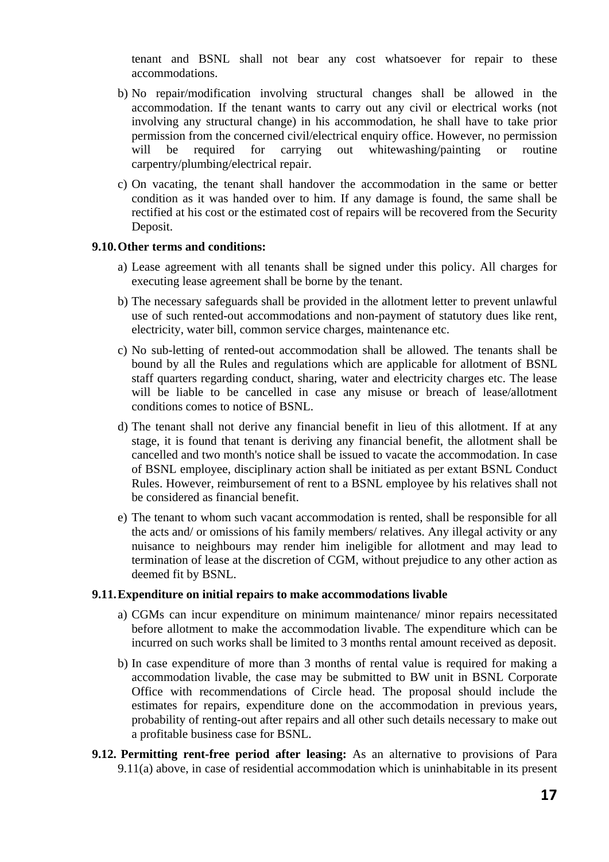tenant and BSNL shall not bear any cost whatsoever for repair to these accommodations.

- b) No repair/modification involving structural changes shall be allowed in the accommodation. If the tenant wants to carry out any civil or electrical works (not involving any structural change) in his accommodation, he shall have to take prior permission from the concerned civil/electrical enquiry office. However, no permission will be required for carrying out whitewashing/painting or routine carpentry/plumbing/electrical repair.
- c) On vacating, the tenant shall handover the accommodation in the same or better condition as it was handed over to him. If any damage is found, the same shall be rectified at his cost or the estimated cost of repairs will be recovered from the Security Deposit.

#### **9.10.Other terms and conditions:**

- a) Lease agreement with all tenants shall be signed under this policy. All charges for executing lease agreement shall be borne by the tenant.
- b) The necessary safeguards shall be provided in the allotment letter to prevent unlawful use of such rented-out accommodations and non-payment of statutory dues like rent, electricity, water bill, common service charges, maintenance etc.
- c) No sub-letting of rented-out accommodation shall be allowed. The tenants shall be bound by all the Rules and regulations which are applicable for allotment of BSNL staff quarters regarding conduct, sharing, water and electricity charges etc. The lease will be liable to be cancelled in case any misuse or breach of lease/allotment conditions comes to notice of BSNL.
- d) The tenant shall not derive any financial benefit in lieu of this allotment. If at any stage, it is found that tenant is deriving any financial benefit, the allotment shall be cancelled and two month's notice shall be issued to vacate the accommodation. In case of BSNL employee, disciplinary action shall be initiated as per extant BSNL Conduct Rules. However, reimbursement of rent to a BSNL employee by his relatives shall not be considered as financial benefit.
- e) The tenant to whom such vacant accommodation is rented, shall be responsible for all the acts and/ or omissions of his family members/ relatives. Any illegal activity or any nuisance to neighbours may render him ineligible for allotment and may lead to termination of lease at the discretion of CGM, without prejudice to any other action as deemed fit by BSNL.

# **9.11.Expenditure on initial repairs to make accommodations livable**

- a) CGMs can incur expenditure on minimum maintenance/ minor repairs necessitated before allotment to make the accommodation livable. The expenditure which can be incurred on such works shall be limited to 3 months rental amount received as deposit.
- b) In case expenditure of more than 3 months of rental value is required for making a accommodation livable, the case may be submitted to BW unit in BSNL Corporate Office with recommendations of Circle head. The proposal should include the estimates for repairs, expenditure done on the accommodation in previous years, probability of renting-out after repairs and all other such details necessary to make out a profitable business case for BSNL.
- **9.12. Permitting rent-free period after leasing:** As an alternative to provisions of Para 9.11(a) above, in case of residential accommodation which is uninhabitable in its present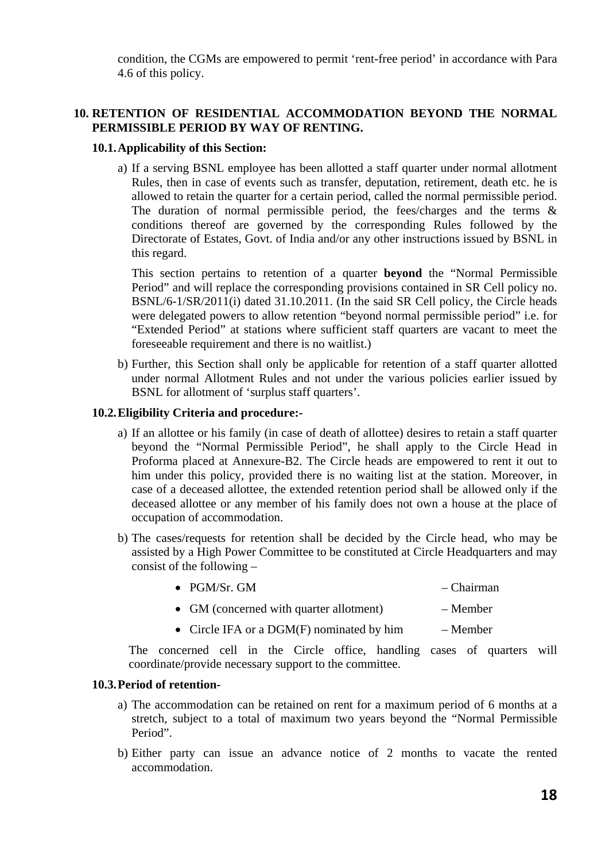condition, the CGMs are empowered to permit 'rent-free period' in accordance with Para 4.6 of this policy.

# **10. RETENTION OF RESIDENTIAL ACCOMMODATION BEYOND THE NORMAL PERMISSIBLE PERIOD BY WAY OF RENTING.**

# **10.1.Applicability of this Section:**

a) If a serving BSNL employee has been allotted a staff quarter under normal allotment Rules, then in case of events such as transfer, deputation, retirement, death etc. he is allowed to retain the quarter for a certain period, called the normal permissible period. The duration of normal permissible period, the fees/charges and the terms  $\&$ conditions thereof are governed by the corresponding Rules followed by the Directorate of Estates, Govt. of India and/or any other instructions issued by BSNL in this regard.

This section pertains to retention of a quarter **beyond** the "Normal Permissible Period" and will replace the corresponding provisions contained in SR Cell policy no. BSNL/6-1/SR/2011(i) dated 31.10.2011. (In the said SR Cell policy, the Circle heads were delegated powers to allow retention "beyond normal permissible period" i.e. for "Extended Period" at stations where sufficient staff quarters are vacant to meet the foreseeable requirement and there is no waitlist.)

b) Further, this Section shall only be applicable for retention of a staff quarter allotted under normal Allotment Rules and not under the various policies earlier issued by BSNL for allotment of 'surplus staff quarters'.

# **10.2.Eligibility Criteria and procedure:-**

- a) If an allottee or his family (in case of death of allottee) desires to retain a staff quarter beyond the "Normal Permissible Period", he shall apply to the Circle Head in Proforma placed at Annexure-B2. The Circle heads are empowered to rent it out to him under this policy, provided there is no waiting list at the station. Moreover, in case of a deceased allottee, the extended retention period shall be allowed only if the deceased allottee or any member of his family does not own a house at the place of occupation of accommodation.
- b) The cases/requests for retention shall be decided by the Circle head, who may be assisted by a High Power Committee to be constituted at Circle Headquarters and may consist of the following –

| $\bullet$ PGM/Sr. GM | – Chairman |
|----------------------|------------|
|                      |            |

- GM (concerned with quarter allotment) Member
- Circle IFA or a DGM(F) nominated by him Member

The concerned cell in the Circle office, handling cases of quarters will coordinate/provide necessary support to the committee.

# **10.3.Period of retention-**

- a) The accommodation can be retained on rent for a maximum period of 6 months at a stretch, subject to a total of maximum two years beyond the "Normal Permissible Period".
- b) Either party can issue an advance notice of 2 months to vacate the rented accommodation.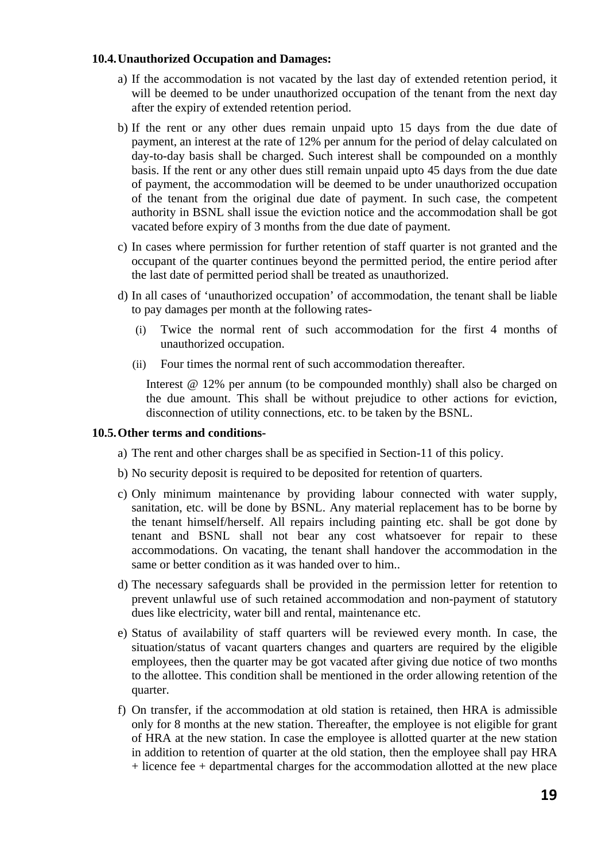# **10.4.Unauthorized Occupation and Damages:**

- a) If the accommodation is not vacated by the last day of extended retention period, it will be deemed to be under unauthorized occupation of the tenant from the next day after the expiry of extended retention period.
- b) If the rent or any other dues remain unpaid upto 15 days from the due date of payment, an interest at the rate of 12% per annum for the period of delay calculated on day-to-day basis shall be charged. Such interest shall be compounded on a monthly basis. If the rent or any other dues still remain unpaid upto 45 days from the due date of payment, the accommodation will be deemed to be under unauthorized occupation of the tenant from the original due date of payment. In such case, the competent authority in BSNL shall issue the eviction notice and the accommodation shall be got vacated before expiry of 3 months from the due date of payment.
- c) In cases where permission for further retention of staff quarter is not granted and the occupant of the quarter continues beyond the permitted period, the entire period after the last date of permitted period shall be treated as unauthorized.
- d) In all cases of 'unauthorized occupation' of accommodation, the tenant shall be liable to pay damages per month at the following rates-
	- (i) Twice the normal rent of such accommodation for the first 4 months of unauthorized occupation.
	- (ii) Four times the normal rent of such accommodation thereafter.

Interest @ 12% per annum (to be compounded monthly) shall also be charged on the due amount. This shall be without prejudice to other actions for eviction, disconnection of utility connections, etc. to be taken by the BSNL.

# **10.5.Other terms and conditions-**

- a) The rent and other charges shall be as specified in Section-11 of this policy.
- b) No security deposit is required to be deposited for retention of quarters.
- c) Only minimum maintenance by providing labour connected with water supply, sanitation, etc. will be done by BSNL. Any material replacement has to be borne by the tenant himself/herself. All repairs including painting etc. shall be got done by tenant and BSNL shall not bear any cost whatsoever for repair to these accommodations. On vacating, the tenant shall handover the accommodation in the same or better condition as it was handed over to him..
- d) The necessary safeguards shall be provided in the permission letter for retention to prevent unlawful use of such retained accommodation and non-payment of statutory dues like electricity, water bill and rental, maintenance etc.
- e) Status of availability of staff quarters will be reviewed every month. In case, the situation/status of vacant quarters changes and quarters are required by the eligible employees, then the quarter may be got vacated after giving due notice of two months to the allottee. This condition shall be mentioned in the order allowing retention of the quarter.
- f) On transfer, if the accommodation at old station is retained, then HRA is admissible only for 8 months at the new station. Thereafter, the employee is not eligible for grant of HRA at the new station. In case the employee is allotted quarter at the new station in addition to retention of quarter at the old station, then the employee shall pay HRA + licence fee + departmental charges for the accommodation allotted at the new place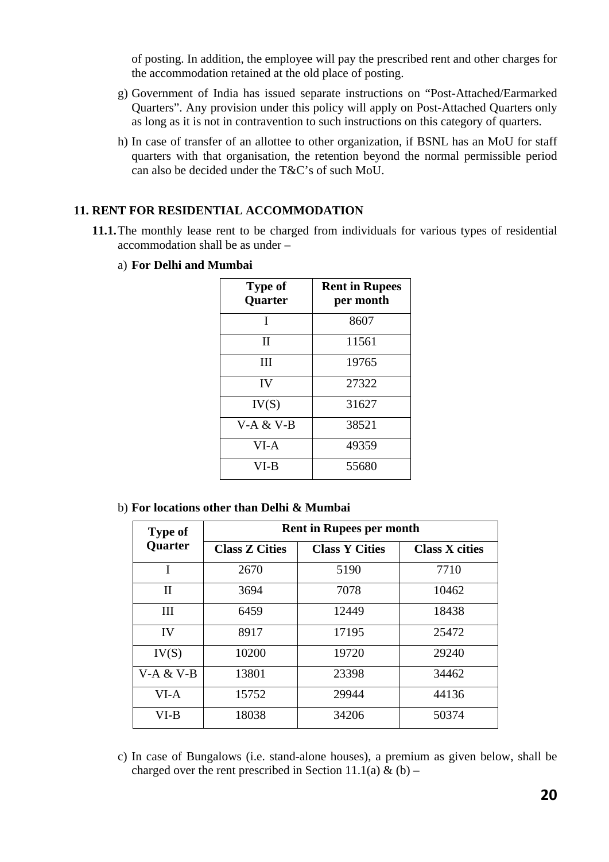of posting. In addition, the employee will pay the prescribed rent and other charges for the accommodation retained at the old place of posting.

- g) Government of India has issued separate instructions on "Post-Attached/Earmarked Quarters". Any provision under this policy will apply on Post-Attached Quarters only as long as it is not in contravention to such instructions on this category of quarters.
- h) In case of transfer of an allottee to other organization, if BSNL has an MoU for staff quarters with that organisation, the retention beyond the normal permissible period can also be decided under the T&C's of such MoU.

# **11. RENT FOR RESIDENTIAL ACCOMMODATION**

- **11.1.**The monthly lease rent to be charged from individuals for various types of residential accommodation shall be as under –
	- a) **For Delhi and Mumbai**

| <b>Type of</b><br><b>Quarter</b> | <b>Rent in Rupees</b><br>per month |
|----------------------------------|------------------------------------|
| I                                | 8607                               |
| $_{\rm II}$                      | 11561                              |
| Ш                                | 19765                              |
| IV                               | 27322                              |
| IV(S)                            | 31627                              |
| $V-A & V-B$                      | 38521                              |
| $VI-A$                           | 49359                              |
| VI-B                             | 55680                              |

b) **For locations other than Delhi & Mumbai** 

| <b>Type of</b> |                       | <b>Rent in Rupees per month</b> |                       |
|----------------|-----------------------|---------------------------------|-----------------------|
| Quarter        | <b>Class Z Cities</b> | <b>Class Y Cities</b>           | <b>Class X cities</b> |
| I              | 2670                  | 5190                            | 7710                  |
| $\mathbf{I}$   | 3694                  | 7078                            | 10462                 |
| Ш              | 6459                  | 12449                           | 18438                 |
| IV             | 8917                  | 17195                           | 25472                 |
| IV(S)          | 10200                 | 19720                           | 29240                 |
| $V-A & V-B$    | 13801                 | 23398                           | 34462                 |
| $VI-A$         | 15752                 | 29944                           | 44136                 |
| $VI-B$         | 18038                 | 34206                           | 50374                 |

c) In case of Bungalows (i.e. stand-alone houses), a premium as given below, shall be charged over the rent prescribed in Section 11.1(a) & (b) –